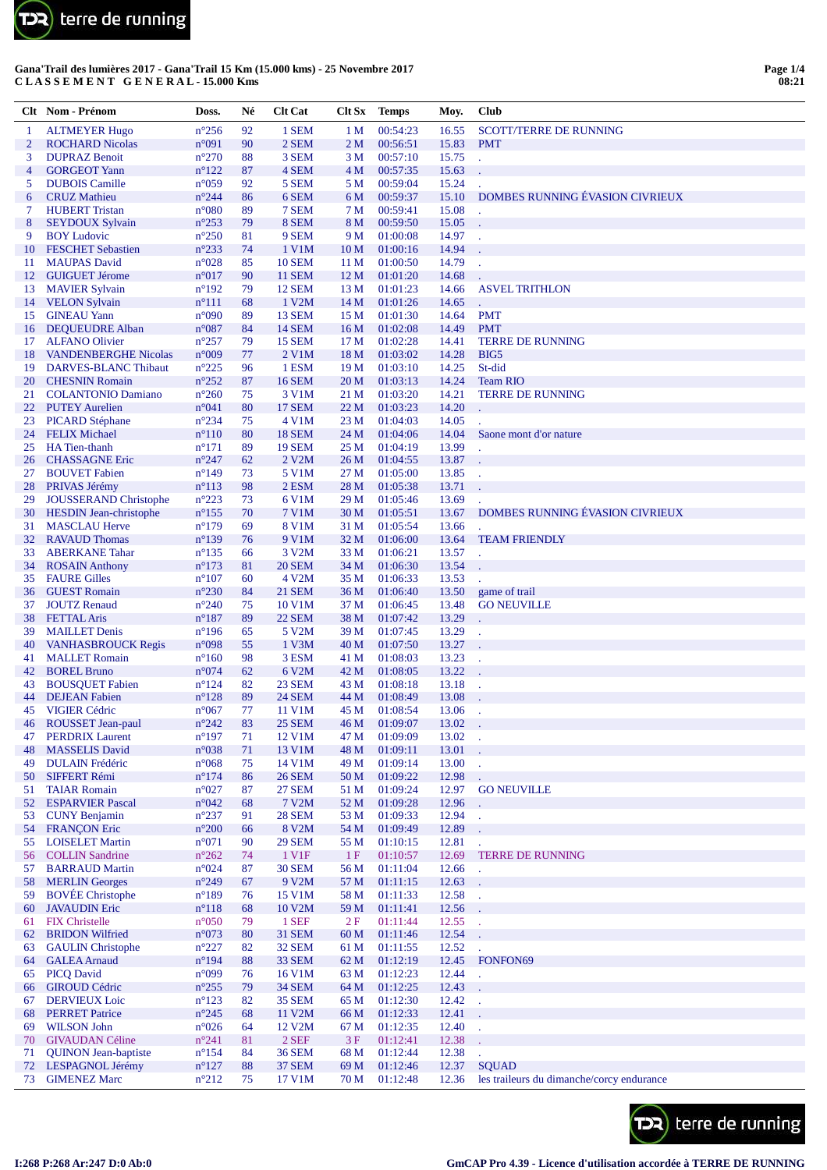

|          | Clt Nom - Prénom                                              | Doss.                            | Né           | <b>Clt Cat</b>                 | Clt Sx                             | <b>Temps</b>         | Moy.           | Club                                                      |
|----------|---------------------------------------------------------------|----------------------------------|--------------|--------------------------------|------------------------------------|----------------------|----------------|-----------------------------------------------------------|
| 1        | <b>ALTMEYER Hugo</b>                                          | $n^{\circ}256$                   | 92           | 1 SEM                          | 1 M                                | 00:54:23             | 16.55          | <b>SCOTT/TERRE DE RUNNING</b>                             |
| 2        | <b>ROCHARD Nicolas</b>                                        | n°091                            | 90           | 2 SEM                          | 2 <sub>M</sub>                     | 00:56:51             | 15.83          | <b>PMT</b>                                                |
| 3        | <b>DUPRAZ Benoit</b>                                          | $n^{\circ}270$                   | 88           | 3 SEM                          | 3 <sub>M</sub>                     | 00:57:10             | 15.75          |                                                           |
| 4        | <b>GORGEOT Yann</b>                                           | $n^{\circ}122$                   | 87           | 4 SEM                          | 4 <sub>M</sub>                     | 00:57:35             | 15.63          |                                                           |
| 5        | <b>DUBOIS</b> Camille                                         | $n^{\circ}059$                   | 92           | 5 SEM                          | 5 M                                | 00:59:04             | 15.24          |                                                           |
| 6<br>7   | <b>CRUZ</b> Mathieu                                           | $n^{\circ}244$                   | 86           | 6 SEM<br>7 SEM                 | 6 M<br>7 <sub>M</sub>              | 00:59:37             | 15.10<br>15.08 | DOMBES RUNNING ÉVASION CIVRIEUX                           |
| 8        | <b>HUBERT Tristan</b><br><b>SEYDOUX Sylvain</b>               | $n^{\circ}080$<br>$n^{\circ}253$ | 89<br>79     | 8 SEM                          | 8 M                                | 00:59:41<br>00:59:50 | 15.05          |                                                           |
| 9        | <b>BOY Ludovic</b>                                            | $n^{\circ}250$                   | 81           | 9 SEM                          | 9 M                                | 01:00:08             | 14.97          | t,                                                        |
| 10       | <b>FESCHET Sebastien</b>                                      | $n^{\circ}233$                   | 74           | 1 V1M                          | 10 <sub>M</sub>                    | 01:00:16             | 14.94          |                                                           |
| 11       | <b>MAUPAS David</b>                                           | $n^{\circ}028$                   | 85           | <b>10 SEM</b>                  | 11 <sub>M</sub>                    | 01:00:50             | 14.79          |                                                           |
| 12       | <b>GUIGUET Jérome</b>                                         | n°017                            | 90           | <b>11 SEM</b>                  | 12 <sub>M</sub>                    | 01:01:20             | 14.68          |                                                           |
| 13       | <b>MAVIER Sylvain</b>                                         | $n^{\circ}192$                   | 79           | <b>12 SEM</b>                  | 13 <sub>M</sub>                    | 01:01:23             | 14.66          | <b>ASVEL TRITHLON</b>                                     |
| 14       | <b>VELON Sylvain</b>                                          | $n^{\circ}111$                   | 68           | 1 V2M                          | 14 <sub>M</sub>                    | 01:01:26             | 14.65          |                                                           |
| 15       | <b>GINEAU Yann</b>                                            | $n^{\circ}090$                   | 89           | <b>13 SEM</b>                  | 15 <sub>M</sub>                    | 01:01:30             | 14.64          | <b>PMT</b>                                                |
| 16       | <b>DEQUEUDRE Alban</b>                                        | $n^{\circ}087$                   | 84           | <b>14 SEM</b>                  | 16 <sub>M</sub>                    | 01:02:08             | 14.49          | <b>PMT</b>                                                |
| 17<br>18 | <b>ALFANO Olivier</b>                                         | $n^{\circ}257$<br>n°009          | 79<br>77     | <b>15 SEM</b>                  | 17 M<br>18 <sub>M</sub>            | 01:02:28             | 14.41<br>14.28 | <b>TERRE DE RUNNING</b><br>BIG5                           |
| 19       | <b>VANDENBERGHE Nicolas</b><br>DARVES-BLANC Thibaut           | $n^{\circ}225$                   | 96           | $2$ V1M<br>1 ESM               | 19 <sub>M</sub>                    | 01:03:02<br>01:03:10 | 14.25          | St-did                                                    |
| 20       | <b>CHESNIN Romain</b>                                         | $n^{\circ}252$                   | 87           | <b>16 SEM</b>                  | 20 <sub>M</sub>                    | 01:03:13             | 14.24          | <b>Team RIO</b>                                           |
| 21       | <b>COLANTONIO Damiano</b>                                     | $n^{\circ}260$                   | 75           | 3 V1M                          | 21 M                               | 01:03:20             | 14.21          | <b>TERRE DE RUNNING</b>                                   |
| 22       | <b>PUTEY Aurelien</b>                                         | n°041                            | 80           | <b>17 SEM</b>                  | 22 <sub>M</sub>                    | 01:03:23             | 14.20          |                                                           |
| 23       | <b>PICARD Stéphane</b>                                        | $n^{\circ}234$                   | 75           | 4 V1M                          | 23 <sub>M</sub>                    | 01:04:03             | 14.05          |                                                           |
| 24       | <b>FELIX Michael</b>                                          | $n^{\circ}110$                   | 80           | <b>18 SEM</b>                  | 24 M                               | 01:04:06             | 14.04          | Saone mont d'or nature                                    |
| 25       | HA Tien-thanh                                                 | $n^{\circ}171$                   | 89           | <b>19 SEM</b>                  | 25 M                               | 01:04:19             | 13.99          |                                                           |
| 26       | <b>CHASSAGNE Eric</b>                                         | $n^{\circ}247$                   | 62           | 2 V2M                          | 26 <sub>M</sub>                    | 01:04:55             | 13.87          |                                                           |
| 27       | <b>BOUVET</b> Fabien                                          | $n^{\circ}149$                   | 73           | 5 V1M                          | 27 <sub>M</sub>                    | 01:05:00             | 13.85          |                                                           |
| 28       | PRIVAS Jérémy                                                 | $n^{\circ}113$                   | 98           | $2$ ESM                        | 28 M                               | 01:05:38             | 13.71          |                                                           |
| 29<br>30 | <b>JOUSSERAND Christophe</b><br><b>HESDIN Jean-christophe</b> | $n^{\circ}223$<br>$n^{\circ}155$ | 73<br>70     | 6 V1M<br>7 V1M                 | 29 <sub>M</sub><br>30 <sub>M</sub> | 01:05:46<br>01:05:51 | 13.69<br>13.67 | DOMBES RUNNING ÉVASION CIVRIEUX                           |
| 31       | <b>MASCLAU Herve</b>                                          | $n^{\circ}179$                   | 69           | 8 V1M                          | 31 M                               | 01:05:54             | 13.66          |                                                           |
| 32       | <b>RAVAUD Thomas</b>                                          | $n^{\circ}139$                   | 76           | 9 V1M                          | 32 M                               | 01:06:00             | 13.64          | <b>TEAM FRIENDLY</b>                                      |
| 33       | <b>ABERKANE</b> Tahar                                         | $n^{\circ}135$                   | 66           | 3 V <sub>2</sub> M             | 33 M                               | 01:06:21             | 13.57          |                                                           |
| 34       | <b>ROSAIN Anthony</b>                                         | $n^{\circ}173$                   | 81           | <b>20 SEM</b>                  | 34 M                               | 01:06:30             | 13.54          |                                                           |
| 35       | <b>FAURE Gilles</b>                                           | $n^{\circ}107$                   | 60           | 4 V2M                          | 35 M                               | 01:06:33             | 13.53          |                                                           |
| 36       | <b>GUEST Romain</b>                                           | $n^{\circ}230$                   | 84           | <b>21 SEM</b>                  | 36 M                               | 01:06:40             | 13.50          | game of trail                                             |
| 37       | <b>JOUTZ Renaud</b>                                           | $n^{\circ}240$                   | 75           | 10 V1M                         | 37 M                               | 01:06:45             | 13.48          | <b>GO NEUVILLE</b>                                        |
| 38       | <b>FETTAL Aris</b>                                            | $n^{\circ}187$                   | 89           | <b>22 SEM</b>                  | 38 M                               | 01:07:42             | 13.29          |                                                           |
| 39       | <b>MAILLET Denis</b><br><b>VANHASBROUCK Regis</b>             | $n^{\circ}196$<br>n°098          | 65           | 5 V <sub>2</sub> M<br>1 V3M    | 39 M                               | 01:07:45             | 13.29<br>13.27 |                                                           |
| 40<br>41 | <b>MALLET</b> Romain                                          | $n^{\circ}160$                   | 55<br>98     | 3 ESM                          | 40 <sub>M</sub><br>41 M            | 01:07:50<br>01:08:03 | 13.23          |                                                           |
| 42       | <b>BOREL Bruno</b>                                            | $n^{\circ}074$                   | 62           | 6 V2M                          | 42 M                               | 01:08:05             | 13.22          |                                                           |
| 43       | <b>BOUSQUET Fabien</b>                                        | $n^{\circ}124$                   | 82           | <b>23 SEM</b>                  | 43 M                               | 01:08:18             | 13.18          | $\lambda$                                                 |
| 44       | <b>DEJEAN</b> Fabien                                          | $n^{\circ}128$                   | 89           | <b>24 SEM</b>                  | 44 M                               | 01:08:49             | 13.08          |                                                           |
| 45       | <b>VIGIER Cédric</b>                                          | $n^{\circ}067$                   | 77           | 11 V1M                         | 45 M                               | 01:08:54             | 13.06          |                                                           |
| 46       | ROUSSET Jean-paul                                             | $n^{\circ}242$                   | 83           | <b>25 SEM</b>                  | 46 M                               | 01:09:07             | 13.02          |                                                           |
| 47       | <b>PERDRIX Laurent</b>                                        | $n^{\circ}197$                   | 71           | 12 V1M                         | 47 M                               | 01:09:09             | 13.02          | ÷.                                                        |
| 48       | <b>MASSELIS David</b>                                         | n°038                            | 71           | 13 V1M                         | 48 M                               | 01:09:11             | 13.01          |                                                           |
| 49       | <b>DULAIN</b> Frédéric                                        | $n^{\circ}068$                   | 75           | 14 V1M                         | 49 M                               | 01:09:14             | 13.00          | L.                                                        |
| 50<br>51 | SIFFERT Rémi<br><b>TAIAR Romain</b>                           | $n^{\circ}174$<br>$n^{\circ}027$ | 86<br>87     | <b>26 SEM</b><br><b>27 SEM</b> | 50 M<br>51 M                       | 01:09:22<br>01:09:24 | 12.98<br>12.97 | <b>GO NEUVILLE</b>                                        |
| 52       | <b>ESPARVIER Pascal</b>                                       | n°042                            | 68           | 7 V2M                          | 52 M                               | 01:09:28             | 12.96          |                                                           |
| 53       | <b>CUNY Benjamin</b>                                          | $n^{\circ}237$                   | 91           | <b>28 SEM</b>                  | 53 M                               | 01:09:33             | 12.94          | ä,                                                        |
| 54       | <b>FRANÇON Eric</b>                                           | $n^{\circ}200$                   | 66           | 8 V2M                          | 54 M                               | 01:09:49             | 12.89          | t.                                                        |
| 55       | <b>LOISELET Martin</b>                                        | $n^{\circ}071$                   | 90           | <b>29 SEM</b>                  | 55 M                               | 01:10:15             | 12.81          | $\mathbb{Z}^2$                                            |
| 56       | <b>COLLIN Sandrine</b>                                        | $n^{\circ}262$                   | 74           | 1 V1F                          | 1F                                 | 01:10:57             | 12.69          | <b>TERRE DE RUNNING</b>                                   |
| 57       | <b>BARRAUD Martin</b>                                         | $n^{\circ}024$                   | 87           | <b>30 SEM</b>                  | 56 M                               | 01:11:04             | 12.66          | l.                                                        |
| 58       | <b>MERLIN</b> Georges                                         | $n^{\circ}249$                   | 67           | 9 V <sub>2</sub> M             | 57 M                               | 01:11:15             | 12.63          | ÷.                                                        |
| 59       | <b>BOVÉE</b> Christophe                                       | $n^{\circ}189$                   | 76           | 15 V1M                         | 58 M                               | 01:11:33             | 12.58          | $\bar{z}$                                                 |
| 60       | <b>JAVAUDIN Eric</b>                                          | $n^{\circ}118$                   | 68           | 10 V2M                         | 59 M                               | 01:11:41             | 12.56          | ÷.                                                        |
| 61<br>62 | <b>FIX Christelle</b><br><b>BRIDON Wilfried</b>               | $n^{\circ}050$<br>n°073          | 79<br>80     | 1 SEF<br>31 SEM                | 2F<br>60 <sub>M</sub>              | 01:11:44<br>01:11:46 | 12.55<br>12.54 | $\mathcal{L}$                                             |
| 63       | <b>GAULIN</b> Christophe                                      | $n^{\circ}227$                   | 82           | 32 SEM                         | 61 M                               | 01:11:55             | 12.52          |                                                           |
| 64       | <b>GALEA</b> Arnaud                                           | $n^{\circ}194$                   | 88           | 33 SEM                         | 62 M                               | 01:12:19             | 12.45          | FONFON69                                                  |
| 65       | <b>PICQ David</b>                                             | n°099                            | 76           | 16 V1M                         | 63 M                               | 01:12:23             | 12.44          | t.                                                        |
| 66       | <b>GIROUD Cédric</b>                                          | $n^{\circ}255$                   | 79           | <b>34 SEM</b>                  | 64 M                               | 01:12:25             | 12.43          | ÷.                                                        |
| 67       | <b>DERVIEUX</b> Loic                                          | $n^{\circ}123$                   | 82           | <b>35 SEM</b>                  | 65 M                               | 01:12:30             | 12.42          | $\mathbb{Z}^2$                                            |
| 68       | <b>PERRET Patrice</b>                                         | $n^{\circ}245$                   | 68           | 11 V2M                         | 66 M                               | 01:12:33             | 12.41          |                                                           |
| 69       | <b>WILSON John</b>                                            | $n^{\circ}026$                   | 64           | 12 V <sub>2</sub> M            | 67 M                               | 01:12:35             | 12.40          | $\mathbb{Z}^2$                                            |
| 70       | <b>GIVAUDAN Céline</b>                                        | $n^{\circ}241$                   | 81           | $2$ SEF                        | 3F                                 | 01:12:41             | 12.38          | ÷.                                                        |
| 71       | <b>QUINON Jean-baptiste</b>                                   | $n^{\circ}154$                   | 84           | <b>36 SEM</b>                  | 68 M                               | 01:12:44             | 12.38          | L.                                                        |
| 72<br>73 | LESPAGNOL Jérémy<br><b>GIMENEZ Marc</b>                       | $n^{\circ}127$<br>$n^{\circ}212$ | $88\,$<br>75 | <b>37 SEM</b><br>17 V1M        | 69 M<br>70 M                       | 01:12:46<br>01:12:48 | 12.37<br>12.36 | <b>SQUAD</b><br>les traileurs du dimanche/corcy endurance |
|          |                                                               |                                  |              |                                |                                    |                      |                |                                                           |

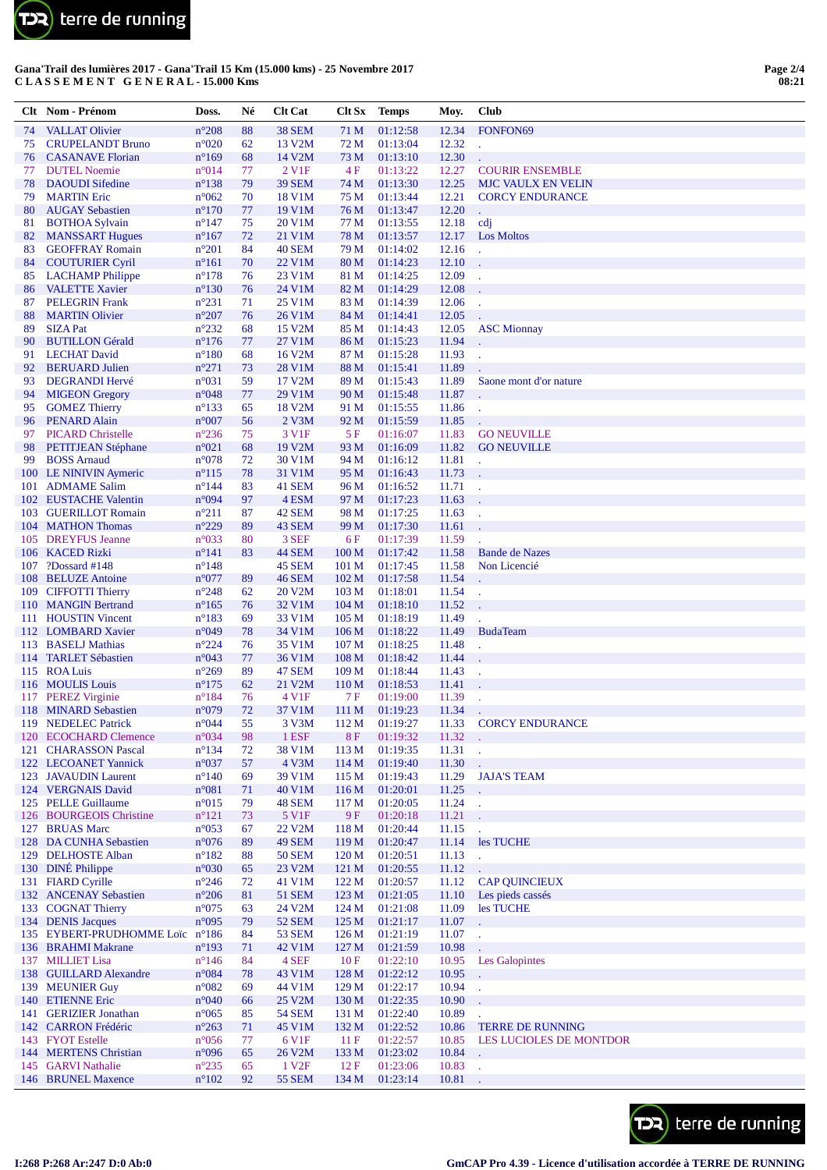

|          | Clt Nom - Prénom                               | Doss.                            | Né       | <b>Clt Cat</b>          | Clt Sx                               | <b>Temps</b>         | Moy.           | Club                                                |
|----------|------------------------------------------------|----------------------------------|----------|-------------------------|--------------------------------------|----------------------|----------------|-----------------------------------------------------|
| 74       | <b>VALLAT Olivier</b>                          | $n^{\circ}208$                   | 88       | <b>38 SEM</b>           | 71 M                                 | 01:12:58             | 12.34          | FONFON69                                            |
| 75       | <b>CRUPELANDT Bruno</b>                        | $n^{\circ}020$                   | 62       | 13 V2M                  | 72 M                                 | 01:13:04             | 12.32          | l.                                                  |
| 76       | <b>CASANAVE</b> Florian                        | $n^{\circ}169$                   | 68       | 14 V2M                  | 73 M                                 | 01:13:10             | 12.30          |                                                     |
| 77       | <b>DUTEL Noemie</b>                            | $n^{\circ}014$                   | 77       | 2 V <sub>1F</sub>       | 4 F                                  | 01:13:22             | 12.27          | <b>COURIR ENSEMBLE</b>                              |
| 78<br>79 | <b>DAOUDI</b> Sifedine<br><b>MARTIN Eric</b>   | $n^{\circ}138$<br>$n^{\circ}062$ | 79<br>70 | <b>39 SEM</b><br>18 V1M | 74 M<br>75 M                         | 01:13:30<br>01:13:44 | 12.25<br>12.21 | <b>MJC VAULX EN VELIN</b><br><b>CORCY ENDURANCE</b> |
| 80       | <b>AUGAY Sebastien</b>                         | $n^{\circ}170$                   | 77       | 19 V1M                  | 76 M                                 | 01:13:47             | 12.20          |                                                     |
| 81       | <b>BOTHOA Sylvain</b>                          | $n^{\circ}$ 147                  | 75       | 20 V1M                  | 77 M                                 | 01:13:55             | 12.18          | cdj                                                 |
| 82       | <b>MANSSART Hugues</b>                         | $n^{\circ}167$                   | 72       | 21 V1M                  | 78 M                                 | 01:13:57             | 12.17          | <b>Los Moltos</b>                                   |
| 83       | <b>GEOFFRAY Romain</b>                         | $n^{\circ}201$                   | 84       | <b>40 SEM</b>           | 79 M                                 | 01:14:02             | 12.16          |                                                     |
| 84       | <b>COUTURIER Cyril</b>                         | $n^{\circ}161$                   | 70       | 22 V1M                  | 80 M                                 | 01:14:23             | 12.10          |                                                     |
| 85       | <b>LACHAMP</b> Philippe                        | $n^{\circ}178$                   | 76       | 23 V1M                  | 81 M                                 | 01:14:25             | 12.09          |                                                     |
| 86<br>87 | <b>VALETTE Xavier</b><br><b>PELEGRIN</b> Frank | $n^{\circ}130$<br>$n^{\circ}231$ | 76<br>71 | 24 V1M<br>25 V1M        | 82 M<br>83 M                         | 01:14:29<br>01:14:39 | 12.08<br>12.06 |                                                     |
| 88       | <b>MARTIN Olivier</b>                          | $n^{\circ}207$                   | 76       | 26 V1M                  | 84 M                                 | 01:14:41             | 12.05          |                                                     |
| 89       | <b>SIZA Pat</b>                                | $n^{\circ}232$                   | 68       | 15 V2M                  | 85 M                                 | 01:14:43             | 12.05          | <b>ASC Mionnay</b>                                  |
| 90       | <b>BUTILLON</b> Gérald                         | $n^{\circ}176$                   | 77       | 27 V1M                  | 86 M                                 | 01:15:23             | 11.94          |                                                     |
| 91       | <b>LECHAT David</b>                            | $n^{\circ}180$                   | 68       | 16 V2M                  | 87 M                                 | 01:15:28             | 11.93          |                                                     |
| 92       | <b>BERUARD</b> Julien                          | $n^{\circ}271$                   | 73       | 28 V1M                  | 88 M                                 | 01:15:41             | 11.89          |                                                     |
| 93       | <b>DEGRANDI Hervé</b>                          | $n^{\circ}031$                   | 59       | 17 V2M                  | 89 M                                 | 01:15:43             | 11.89          | Saone mont d'or nature                              |
| 94       | <b>MIGEON Gregory</b>                          | $n^{\circ}048$                   | 77       | 29 V1M                  | 90 M                                 | 01:15:48             | 11.87          |                                                     |
| 95<br>96 | <b>GOMEZ Thierry</b><br><b>PENARD Alain</b>    | $n^{\circ}133$<br>$n^{\circ}007$ | 65<br>56 | 18 V2M<br>$2$ V $3M$    | 91 M<br>92 M                         | 01:15:55<br>01:15:59 | 11.86<br>11.85 |                                                     |
| 97       | <b>PICARD Christelle</b>                       | $n^{\circ}236$                   | 75       | 3 V1F                   | 5 F                                  | 01:16:07             | 11.83          | <b>GO NEUVILLE</b>                                  |
| 98       | <b>PETITJEAN Stéphane</b>                      | $n^{\circ}021$                   | 68       | 19 V2M                  | 93 M                                 | 01:16:09             | 11.82          | <b>GO NEUVILLE</b>                                  |
| 99       | <b>BOSS Arnaud</b>                             | $n^{\circ}078$                   | 72       | 30 V1M                  | 94 M                                 | 01:16:12             | 11.81          | ä,                                                  |
|          | 100 LE NINIVIN Aymeric                         | $n^{\circ}115$                   | 78       | 31 V1M                  | 95 M                                 | 01:16:43             | 11.73          |                                                     |
|          | 101 ADMAME Salim                               | $n^{\circ}144$                   | 83       | 41 SEM                  | 96 M                                 | 01:16:52             | 11.71          |                                                     |
|          | 102 EUSTACHE Valentin                          | n°094                            | 97       | 4 ESM                   | 97 M                                 | 01:17:23             | 11.63          |                                                     |
|          | 103 GUERILLOT Romain                           | $n^{\circ}211$<br>$n^{\circ}229$ | 87       | 42 SEM                  | 98 M                                 | 01:17:25             | 11.63          | l,                                                  |
|          | 104 MATHON Thomas<br>105 DREYFUS Jeanne        | $n^{\circ}033$                   | 89<br>80 | 43 SEM<br>3 SEF         | 99 M<br>6 F                          | 01:17:30<br>01:17:39 | 11.61<br>11.59 |                                                     |
|          | 106 KACED Rizki                                | $n^{\circ}141$                   | 83       | 44 SEM                  | 100 <sub>M</sub>                     | 01:17:42             | 11.58          | <b>Bande de Nazes</b>                               |
| 107      | ?Dossard #148                                  | $n^{\circ}$ 148                  |          | 45 SEM                  | 101 <sub>M</sub>                     | 01:17:45             | 11.58          | Non Licencié                                        |
|          | 108 BELUZE Antoine                             | $n^{\circ}077$                   | 89       | <b>46 SEM</b>           | 102 <sub>M</sub>                     | 01:17:58             | 11.54          |                                                     |
|          | 109 CIFFOTTI Thierry                           | $n^{\circ}248$                   | 62       | 20 V2M                  | 103 <sub>M</sub>                     | 01:18:01             | 11.54          |                                                     |
|          | 110 MANGIN Bertrand                            | $n^{\circ}165$                   | 76       | 32 V1M                  | 104 <sub>M</sub>                     | 01:18:10             | 11.52          |                                                     |
|          | 111 HOUSTIN Vincent                            | $n^{\circ}183$                   | 69       | 33 V1M                  | 105 <sub>M</sub>                     | 01:18:19             | 11.49          |                                                     |
|          | 112 LOMBARD Xavier<br>113 BASELJ Mathias       | n°049<br>$n^{\circ}224$          | 78<br>76 | 34 V1M<br>35 V1M        | 106 <sub>M</sub><br>107 <sub>M</sub> | 01:18:22<br>01:18:25 | 11.49<br>11.48 | <b>BudaTeam</b>                                     |
|          | 114 TARLET Sébastien                           | n°043                            | 77       | 36 V1M                  | 108 <sub>M</sub>                     | 01:18:42             | 11.44          | l.                                                  |
|          | 115 ROA Luis                                   | $n^{\circ}269$                   | 89       | 47 SEM                  | 109 <sub>M</sub>                     | 01:18:44             | 11.43          |                                                     |
|          | 116 MOULIS Louis                               | $n^{\circ}175$                   | 62       | 21 V2M                  | 110 <sub>M</sub>                     | 01:18:53             | 11.41          |                                                     |
|          | 117 PEREZ Virginie                             | $n^{\circ}184$                   | 76       | 4 V1F                   | 7 F                                  | 01:19:00             | 11.39          | ÷,                                                  |
|          | 118 MINARD Sebastien                           | n°079                            | 72       | 37 V1M                  | 111 M                                | 01:19:23             | 11.34          |                                                     |
|          | 119 NEDELEC Patrick                            | $n^{\circ}044$                   | 55       | 3 V3M                   | 112 M                                | 01:19:27             | 11.33          | <b>CORCY ENDURANCE</b>                              |
|          | 120 ECOCHARD Clemence<br>121 CHARASSON Pascal  | n°034<br>$n^{\circ}134$          | 98<br>72 | 1 ESF<br>38 V1M         | <b>8F</b><br>113M                    | 01:19:32<br>01:19:35 | 11.32<br>11.31 |                                                     |
|          | 122 LECOANET Yannick                           | n°037                            | 57       | 4 V3M                   | 114M                                 | 01:19:40             | 11.30          | J.                                                  |
|          | 123 JAVAUDIN Laurent                           | $n^{\circ}140$                   | 69       | 39 V1M                  | 115 <sub>M</sub>                     | 01:19:43             | 11.29          | <b>JAJA'S TEAM</b>                                  |
|          | 124 VERGNAIS David                             | n°081                            | 71       | 40 V1M                  | 116M                                 | 01:20:01             | 11.25          | L.                                                  |
|          | 125 PELLE Guillaume                            | n°015                            | 79       | 48 SEM                  | 117 <sub>M</sub>                     | 01:20:05             | 11.24          | t,                                                  |
|          | 126 BOURGEOIS Christine                        | $n^{\circ}121$                   | 73       | 5 V1F                   | 9 F                                  | 01:20:18             | 11.21          |                                                     |
|          | 127 BRUAS Marc                                 | $n^{\circ}053$                   | 67       | 22 V2M                  | 118 <sub>M</sub>                     | 01:20:44             | 11.15          |                                                     |
|          | 128 DA CUNHA Sebastien<br>129 DELHOSTE Alban   | $n^{\circ}076$<br>$n^{\circ}182$ | 89<br>88 | 49 SEM<br><b>50 SEM</b> | 119 <sub>M</sub><br>120 <sub>M</sub> | 01:20:47<br>01:20:51 | 11.14<br>11.13 | les TUCHE                                           |
|          | 130 DINÉ Philippe                              | n°030                            | 65       | 23 V2M                  | 121 M                                | 01:20:55             | 11.12          | l.<br>ä,                                            |
|          | 131 FIARD Cyrille                              | $n^{\circ}246$                   | 72       | 41 V1M                  | 122M                                 | 01:20:57             | 11.12          | <b>CAP QUINCIEUX</b>                                |
|          | 132 ANCENAY Sebastien                          | $n^{\circ}206$                   | 81       | <b>51 SEM</b>           | 123M                                 | 01:21:05             | 11.10          | Les pieds cassés                                    |
|          | 133 COGNAT Thierry                             | $n^{\circ}075$                   | 63       | 24 V2M                  | 124M                                 | 01:21:08             | 11.09          | les TUCHE                                           |
|          | 134 DENIS Jacques                              | n°095                            | 79       | <b>52 SEM</b>           | 125 <sub>M</sub>                     | 01:21:17             | 11.07          |                                                     |
|          | 135 EYBERT-PRUDHOMME Loïc                      | $n^{\circ}186$                   | 84       | <b>53 SEM</b>           | 126 <sub>M</sub>                     | 01:21:19             | 11.07          |                                                     |
|          | 136 BRAHMI Makrane                             | $n^{\circ}193$                   | 71       | 42 V1M                  | 127 <sub>M</sub>                     | 01:21:59             | 10.98          |                                                     |
|          | 137 MILLIET Lisa<br>138 GUILLARD Alexandre     | $n^{\circ}$ 146<br>n°084         | 84<br>78 | 4 SEF<br>43 V1M         | 10F<br>128 M                         | 01:22:10<br>01:22:12 | 10.95<br>10.95 | <b>Les Galopintes</b>                               |
|          | 139 MEUNIER Guy                                | $n^{\circ}082$                   | 69       | 44 V1M                  | 129 <sub>M</sub>                     | 01:22:17             | 10.94          | L.                                                  |
|          | 140 ETIENNE Eric                               | n°040                            | 66       | 25 V2M                  | 130 M                                | 01:22:35             | 10.90          |                                                     |
|          | 141 GERIZIER Jonathan                          | $n^{\circ}065$                   | 85       | <b>54 SEM</b>           | 131 M                                | 01:22:40             | 10.89          |                                                     |
|          | 142 CARRON Frédéric                            | $n^{\circ}263$                   | 71       | 45 V1M                  | 132 M                                | 01:22:52             | 10.86          | <b>TERRE DE RUNNING</b>                             |
|          | 143 FYOT Estelle                               | $n^{\circ}056$                   | 77       | 6 V1F                   | 11F                                  | 01:22:57             | 10.85          | LES LUCIOLES DE MONTDOR                             |
|          | 144 MERTENS Christian                          | n°096                            | 65       | 26 V2M                  | 133 M                                | 01:23:02             | 10.84          |                                                     |
|          | 145 GARVI Nathalie                             | $n^{\circ}235$                   | 65       | 1 V <sub>2F</sub>       | 12F                                  | 01:23:06             | 10.83          | $\sim$                                              |
|          | 146 BRUNEL Maxence                             | $\mathtt{n}^{\circ}102$          | 92       | <b>55 SEM</b>           | 134 M                                | 01:23:14             | 10.81          |                                                     |

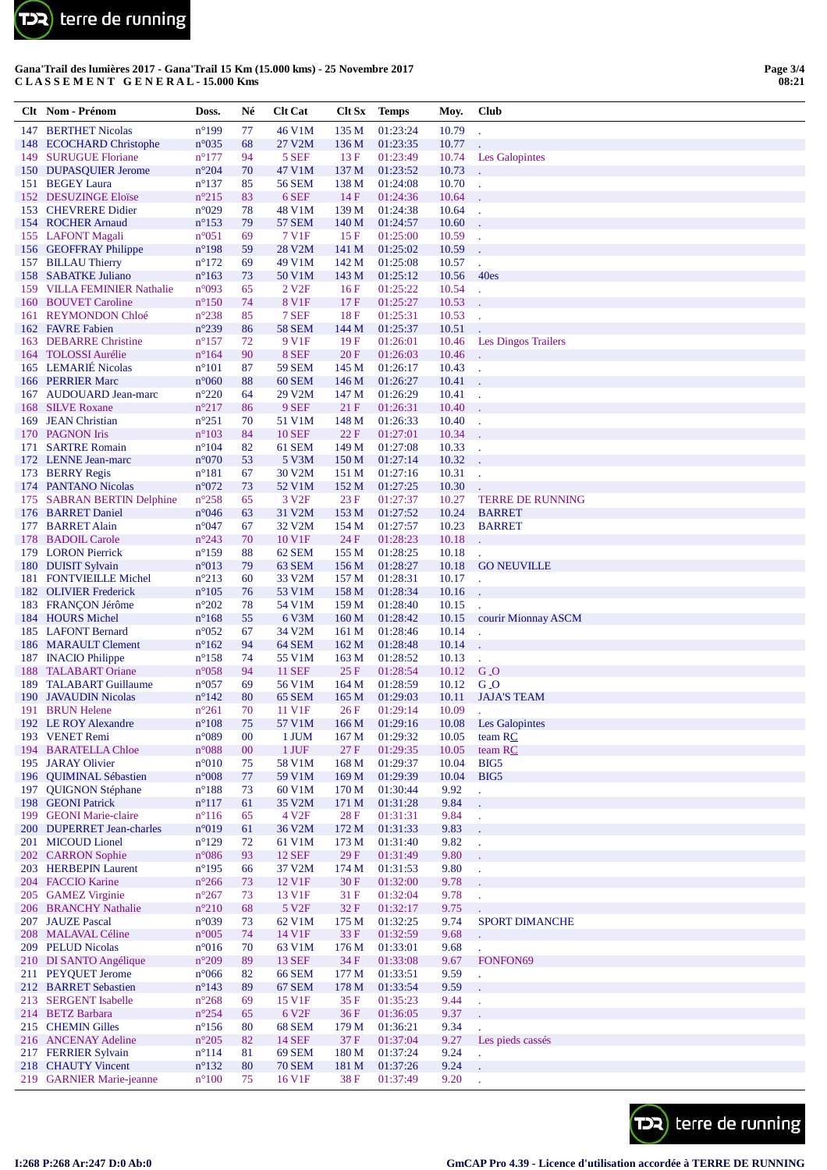

|            | Clt Nom - Prénom                                      | Doss.                            | Né       | <b>Clt Cat</b>                 | Clt Sx                    | Temps                | Moy.           | <b>Club</b>                    |
|------------|-------------------------------------------------------|----------------------------------|----------|--------------------------------|---------------------------|----------------------|----------------|--------------------------------|
| 147        | <b>BERTHET Nicolas</b>                                | $n^{\circ}199$                   | 77       | 46 V1M                         | 135 M                     | 01:23:24             | 10.79          |                                |
|            | 148 ECOCHARD Christophe                               | $n^{\circ}035$                   | 68       | 27 V2M                         | 136 M                     | 01:23:35             | 10.77          |                                |
|            | 149 SURUGUE Floriane                                  | $n^{\circ}177$                   | 94       | 5 SEF                          | 13F                       | 01:23:49             | 10.74          | <b>Les Galopintes</b>          |
|            | 150 DUPASQUIER Jerome                                 | $n^{\circ}204$                   | 70       | 47 V1M                         | 137 M                     | 01:23:52             | 10.73          |                                |
|            | 151 BEGEY Laura                                       | $n^{\circ}137$                   | 85       | <b>56 SEM</b>                  | 138 M                     | 01:24:08             | 10.70          |                                |
| 152        | <b>DESUZINGE Eloïse</b><br>153 CHEVRERE Didier        | $n^{\circ}215$<br>$n^{\circ}029$ | 83<br>78 | 6 SEF<br>48 V1M                | 14F<br>139 <sub>M</sub>   | 01:24:36<br>01:24:38 | 10.64<br>10.64 |                                |
|            | 154 ROCHER Arnaud                                     | $n^{\circ}153$                   | 79       | <b>57 SEM</b>                  | 140 M                     | 01:24:57             | 10.60          |                                |
|            | 155 LAFONT Magali                                     | $n^{\circ}051$                   | 69       | 7 V1F                          | 15F                       | 01:25:00             | 10.59          |                                |
|            | 156 GEOFFRAY Philippe                                 | $n^{\circ}198$                   | 59       | 28 V2M                         | 141 M                     | 01:25:02             | 10.59          |                                |
|            | 157 BILLAU Thierry                                    | $n^{\circ}172$                   | 69       | 49 V1M                         | 142 M                     | 01:25:08             | 10.57          |                                |
|            | 158 SABATKE Juliano                                   | $n^{\circ}163$                   | 73       | 50 V1M                         | 143 M                     | 01:25:12             | 10.56          | 40es                           |
|            | 159 VILLA FEMINIER Nathalie<br><b>BOUVET Caroline</b> | n°093                            | 65       | 2 V <sub>2F</sub>              | 16F                       | 01:25:22             | 10.54          |                                |
| 160<br>161 | REYMONDON Chloé                                       | $n^{\circ}150$<br>$n^{\circ}238$ | 74<br>85 | 8 V <sub>1</sub> F<br>7 SEF    | 17F<br>18F                | 01:25:27<br>01:25:31 | 10.53<br>10.53 |                                |
|            | 162 FAVRE Fabien                                      | $n^{\circ}239$                   | 86       | <b>58 SEM</b>                  | 144 M                     | 01:25:37             | 10.51          |                                |
|            | 163 DEBARRE Christine                                 | $n^{\circ}157$                   | 72       | 9 V <sub>1F</sub>              | 19F                       | 01:26:01             | 10.46          | Les Dingos Trailers            |
| 164        | <b>TOLOSSI</b> Aurélie                                | $n^{\circ}164$                   | 90       | 8 SEF                          | 20F                       | 01:26:03             | 10.46          |                                |
|            | 165 LEMARIÉ Nicolas                                   | $n^{\circ}101$                   | 87       | <b>59 SEM</b>                  | 145 M                     | 01:26:17             | 10.43          |                                |
|            | 166 PERRIER Marc                                      | $n^{\circ}060$                   | 88       | 60 SEM                         | 146 <sub>M</sub>          | 01:26:27             | 10.41          |                                |
|            | 167 AUDOUARD Jean-marc                                | $n^{\circ}220$                   | 64       | 29 V2M                         | 147 M                     | 01:26:29             | 10.41          |                                |
| 169        | 168 SILVE Roxane<br><b>JEAN</b> Christian             | $n^{\circ}217$<br>$n^{\circ}251$ | 86<br>70 | 9 SEF<br>51 V1M                | 21F<br>148 M              | 01:26:31<br>01:26:33 | 10.40<br>10.40 |                                |
|            | 170 PAGNON Iris                                       | $n^{\circ}103$                   | 84       | <b>10 SEF</b>                  | 22F                       | 01:27:01             | 10.34          |                                |
| 171        | <b>SARTRE Romain</b>                                  | $n^{\circ}104$                   | 82       | 61 SEM                         | 149 M                     | 01:27:08             | 10.33          |                                |
|            | 172 LENNE Jean-marc                                   | $n^{\circ}070$                   | 53       | 5 V3M                          | 150 <sub>M</sub>          | 01:27:14             | 10.32          |                                |
| 173        | <b>BERRY Regis</b>                                    | $n^{\circ}181$                   | 67       | 30 V2M                         | 151 M                     | 01:27:16             | 10.31          | ÷,                             |
|            | 174 PANTANO Nicolas                                   | n°072                            | 73       | 52 V1M                         | 152 M                     | 01:27:25             | 10.30          |                                |
|            | 175 SABRAN BERTIN Delphine                            | $n^{\circ}258$                   | 65       | 3 V <sub>2F</sub>              | 23F                       | 01:27:37             | 10.27          | <b>TERRE DE RUNNING</b>        |
| 176        | <b>BARRET</b> Daniel<br>177 BARRET Alain              | $n^{\circ}046$<br>$n^{\circ}047$ | 63<br>67 | 31 V2M<br>32 V2M               | 153 M<br>154 M            | 01:27:52<br>01:27:57 | 10.24<br>10.23 | <b>BARRET</b><br><b>BARRET</b> |
| 178        | <b>BADOIL Carole</b>                                  | $n^{\circ}243$                   | 70       | 10 V1F                         | 24F                       | 01:28:23             | 10.18          |                                |
|            | 179 LORON Pierrick                                    | $n^{\circ}159$                   | 88       | 62 SEM                         | 155 M                     | 01:28:25             | 10.18          |                                |
|            | 180 DUISIT Sylvain                                    | $n^{\circ}013$                   | 79       | 63 SEM                         | 156M                      | 01:28:27             | 10.18          | <b>GO NEUVILLE</b>             |
| 181        | <b>FONTVIEILLE Michel</b>                             | $n^{\circ}213$                   | 60       | 33 V2M                         | 157 M                     | 01:28:31             | 10.17          | l,                             |
|            | 182 OLIVIER Frederick                                 | $n^{\circ}105$                   | 76       | 53 V1M                         | 158 M                     | 01:28:34             | 10.16          |                                |
|            | 183 FRANÇON Jérôme                                    | $n^{\circ}202$                   | 78       | 54 V1M                         | 159 M                     | 01:28:40             | 10.15          |                                |
|            | 184 HOURS Michel<br>185 LAFONT Bernard                | $n^{\circ}168$                   | 55       | 6 V3M                          | 160 <sub>M</sub>          | 01:28:42             | 10.15          | courir Mionnay ASCM            |
|            | 186 MARAULT Clement                                   | $n^{\circ}052$<br>$n^{\circ}162$ | 67<br>94 | 34 V2M<br>64 SEM               | 161 M<br>162 M            | 01:28:46<br>01:28:48 | 10.14<br>10.14 |                                |
|            | 187 INACIO Philippe                                   | $n^{\circ}158$                   | 74       | 55 V1M                         | 163 M                     | 01:28:52             | 10.13          |                                |
| 188        | <b>TALABART</b> Oriane                                | $n^{\circ}058$                   | 94       | <b>11 SEF</b>                  | 25F                       | 01:28:54             | 10.12          | $G_$                           |
| 189        | <b>TALABART Guillaume</b>                             | $n^{\circ}057$                   | 69       | 56 V1M                         | 164M                      | 01:28:59             | 10.12          | $G_{\bullet}$                  |
| 190        | <b>JAVAUDIN Nicolas</b>                               | $n^{\circ}142$                   | 80       | 65 SEM                         | 165 <sub>M</sub>          | 01:29:03             | 10.11          | <b>JAJA'S TEAM</b>             |
|            | 191 BRUN Helene                                       | $n^{\circ}261$<br>$n^{\circ}108$ | 70<br>75 | 11 V1F                         | 26F                       | 01:29:14             | 10.09          |                                |
|            | 192 LE ROY Alexandre<br>193 VENET Remi                | $n^{\circ}089$                   | $00\,$   | 57 V1M<br>1 JUM                | 166 M<br>167 <sub>M</sub> | 01:29:16<br>01:29:32 | 10.08<br>10.05 | Les Galopintes<br>team RC      |
|            | 194 BARATELLA Chloe                                   | $n^{\circ}088$                   | $00\,$   | 1 JUF                          | 27F                       | 01:29:35             | 10.05          | team RC                        |
|            | 195 JARAY Olivier                                     | $n^{\circ}010$                   | 75       | 58 V1M                         | 168 M                     | 01:29:37             | 10.04          | BIG5                           |
| 196        | <b>QUIMINAL Sébastien</b>                             | $n^{\circ}008$                   | 77       | 59 V1M                         | 169 <sub>M</sub>          | 01:29:39             | 10.04          | BIG5                           |
| 197        | <b>QUIGNON Stéphane</b>                               | $n^{\circ}188$                   | 73       | 60 V1M                         | 170 M                     | 01:30:44             | 9.92           |                                |
|            | 198 GEONI Patrick                                     | $n^{\circ}117$                   | 61       | 35 V2M                         | 171 M                     | 01:31:28             | 9.84           |                                |
|            | 199 GEONI Marie-claire<br>200 DUPERRET Jean-charles   | $n^{\circ}116$<br>n°019          | 65<br>61 | 4 V <sub>2F</sub><br>36 V2M    | 28F<br>172 M              | 01:31:31<br>01:31:33 | 9.84<br>9.83   |                                |
|            | 201 MICOUD Lionel                                     | $n^{\circ}129$                   | 72       | 61 V1M                         | 173 M                     | 01:31:40             | 9.82           | J.                             |
|            | 202 CARRON Sophie                                     | $n^{\circ}086$                   | 93       | <b>12 SEF</b>                  | 29F                       | 01:31:49             | 9.80           |                                |
|            | 203 HERBEPIN Laurent                                  | $n^{\circ}195$                   | 66       | 37 V2M                         | 174 M                     | 01:31:53             | 9.80           |                                |
|            | 204 FACCIO Karine                                     | $n^{\circ}266$                   | 73       | 12 V1F                         | 30F                       | 01:32:00             | 9.78           |                                |
|            | 205 GAMEZ Virginie                                    | $n^{\circ}267$                   | 73       | 13 V1F                         | 31 F                      | 01:32:04             | 9.78           |                                |
|            | 206 BRANCHY Nathalie                                  | $n^{\circ}210$                   | 68       | 5 V <sub>2F</sub>              | 32 F                      | 01:32:17             | 9.75           |                                |
|            | 207 JAUZE Pascal<br>208 MALAVAL Céline                | n°039<br>$n^{\circ}005$          | 73<br>74 | 62 V1M<br>14 V1F               | 175 M<br>33 F             | 01:32:25<br>01:32:59 | 9.74<br>9.68   | <b>SPORT DIMANCHE</b>          |
|            | 209 PELUD Nicolas                                     | $n^{\circ}016$                   | 70       | 63 V1M                         | 176 M                     | 01:33:01             | 9.68           |                                |
|            | 210 DI SANTO Angélique                                | $n^{\circ}209$                   | 89       | <b>13 SEF</b>                  | 34 F                      | 01:33:08             | 9.67           | FONFON69                       |
|            | 211 PEYQUET Jerome                                    | $n^{\circ}066$                   | 82       | <b>66 SEM</b>                  | 177 M                     | 01:33:51             | 9.59           | ä,                             |
|            | 212 BARRET Sebastien                                  | $n^{\circ}143$                   | 89       | 67 SEM                         | 178 M                     | 01:33:54             | 9.59           |                                |
|            | 213 SERGENT Isabelle                                  | $n^{\circ}268$                   | 69       | 15 V1F                         | 35F                       | 01:35:23             | 9.44           |                                |
|            | 214 BETZ Barbara                                      | $n^{\circ}254$                   | 65       | 6 V <sub>2F</sub>              | 36F                       | 01:36:05             | 9.37           |                                |
|            | 215 CHEMIN Gilles<br>216 ANCENAY Adeline              | $n^{\circ}156$<br>$n^{\circ}205$ | 80<br>82 | <b>68 SEM</b><br><b>14 SEF</b> | 179 M<br>37 F             | 01:36:21<br>01:37:04 | 9.34<br>9.27   | Les pieds cassés               |
|            | 217 FERRIER Sylvain                                   | $n^{\circ}114$                   | 81       | <b>69 SEM</b>                  | 180 M                     | 01:37:24             | 9.24           | t.                             |
|            | 218 CHAUTY Vincent                                    | $n^{\circ}132$                   | 80       | <b>70 SEM</b>                  | 181 M                     | 01:37:26             | 9.24           |                                |
|            | 219 GARNIER Marie-jeanne                              | $n^{\circ}100$                   | 75       | 16 V1F                         | 38F                       | 01:37:49             | 9.20           |                                |